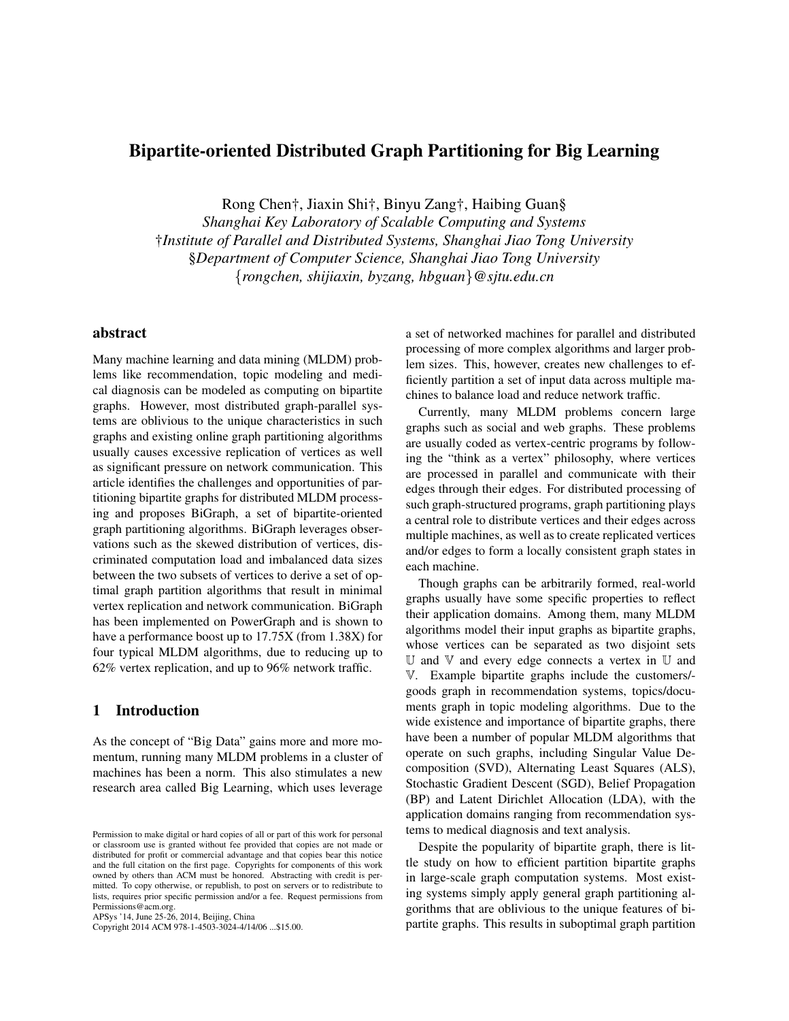# Bipartite-oriented Distributed Graph Partitioning for Big Learning

Rong Chen†, Jiaxin Shi†, Binyu Zang†, Haibing Guan§

*Shanghai Key Laboratory of Scalable Computing and Systems* †*Institute of Parallel and Distributed Systems, Shanghai Jiao Tong University* §*Department of Computer Science, Shanghai Jiao Tong University* {*rongchen, shijiaxin, byzang, hbguan*}*@sjtu.edu.cn*

## abstract

Many machine learning and data mining (MLDM) problems like recommendation, topic modeling and medical diagnosis can be modeled as computing on bipartite graphs. However, most distributed graph-parallel systems are oblivious to the unique characteristics in such graphs and existing online graph partitioning algorithms usually causes excessive replication of vertices as well as significant pressure on network communication. This article identifies the challenges and opportunities of partitioning bipartite graphs for distributed MLDM processing and proposes BiGraph, a set of bipartite-oriented graph partitioning algorithms. BiGraph leverages observations such as the skewed distribution of vertices, discriminated computation load and imbalanced data sizes between the two subsets of vertices to derive a set of optimal graph partition algorithms that result in minimal vertex replication and network communication. BiGraph has been implemented on PowerGraph and is shown to have a performance boost up to 17.75X (from 1.38X) for four typical MLDM algorithms, due to reducing up to 62% vertex replication, and up to 96% network traffic.

### 1 Introduction

As the concept of "Big Data" gains more and more momentum, running many MLDM problems in a cluster of machines has been a norm. This also stimulates a new research area called Big Learning, which uses leverage

Permissions@acm.org. APSys '14, June 25-26, 2014, Beijing, China

Copyright 2014 ACM 978-1-4503-3024-4/14/06 ...\$15.00.

a set of networked machines for parallel and distributed processing of more complex algorithms and larger problem sizes. This, however, creates new challenges to efficiently partition a set of input data across multiple machines to balance load and reduce network traffic.

Currently, many MLDM problems concern large graphs such as social and web graphs. These problems are usually coded as vertex-centric programs by following the "think as a vertex" philosophy, where vertices are processed in parallel and communicate with their edges through their edges. For distributed processing of such graph-structured programs, graph partitioning plays a central role to distribute vertices and their edges across multiple machines, as well as to create replicated vertices and/or edges to form a locally consistent graph states in each machine.

Though graphs can be arbitrarily formed, real-world graphs usually have some specific properties to reflect their application domains. Among them, many MLDM algorithms model their input graphs as bipartite graphs, whose vertices can be separated as two disjoint sets  $U$  and  $V$  and every edge connects a vertex in  $U$  and V. Example bipartite graphs include the customers/ goods graph in recommendation systems, topics/documents graph in topic modeling algorithms. Due to the wide existence and importance of bipartite graphs, there have been a number of popular MLDM algorithms that operate on such graphs, including Singular Value Decomposition (SVD), Alternating Least Squares (ALS), Stochastic Gradient Descent (SGD), Belief Propagation (BP) and Latent Dirichlet Allocation (LDA), with the application domains ranging from recommendation systems to medical diagnosis and text analysis.

Despite the popularity of bipartite graph, there is little study on how to efficient partition bipartite graphs in large-scale graph computation systems. Most existing systems simply apply general graph partitioning algorithms that are oblivious to the unique features of bipartite graphs. This results in suboptimal graph partition

Permission to make digital or hard copies of all or part of this work for personal or classroom use is granted without fee provided that copies are not made or distributed for profit or commercial advantage and that copies bear this notice and the full citation on the first page. Copyrights for components of this work owned by others than ACM must be honored. Abstracting with credit is permitted. To copy otherwise, or republish, to post on servers or to redistribute to lists, requires prior specific permission and/or a fee. Request permissions from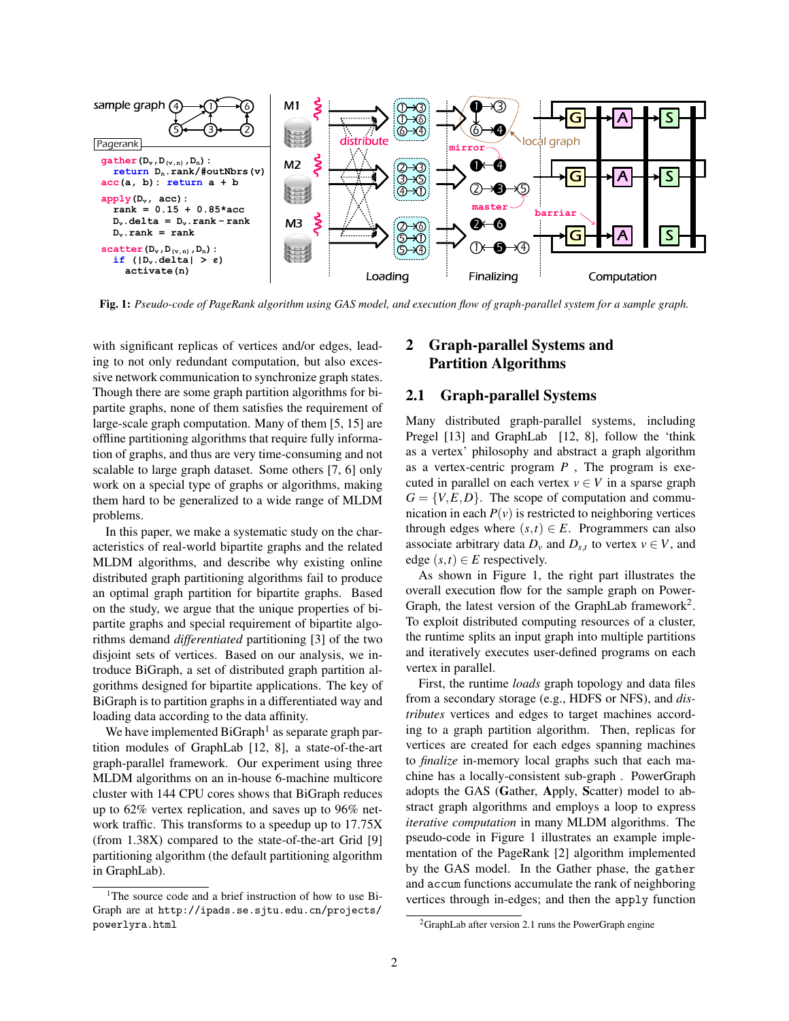

Fig. 1: *Pseudo-code of PageRank algorithm using GAS model, and execution flow of graph-parallel system for a sample graph.*

with significant replicas of vertices and/or edges, leading to not only redundant computation, but also excessive network communication to synchronize graph states. Though there are some graph partition algorithms for bipartite graphs, none of them satisfies the requirement of large-scale graph computation. Many of them [5, 15] are offline partitioning algorithms that require fully information of graphs, and thus are very time-consuming and not scalable to large graph dataset. Some others [7, 6] only work on a special type of graphs or algorithms, making them hard to be generalized to a wide range of MLDM problems.

In this paper, we make a systematic study on the characteristics of real-world bipartite graphs and the related MLDM algorithms, and describe why existing online distributed graph partitioning algorithms fail to produce an optimal graph partition for bipartite graphs. Based on the study, we argue that the unique properties of bipartite graphs and special requirement of bipartite algorithms demand *differentiated* partitioning [3] of the two disjoint sets of vertices. Based on our analysis, we introduce BiGraph, a set of distributed graph partition algorithms designed for bipartite applications. The key of BiGraph is to partition graphs in a differentiated way and loading data according to the data affinity.

We have implemented  $BiGraph<sup>1</sup>$  as separate graph partition modules of GraphLab [12, 8], a state-of-the-art graph-parallel framework. Our experiment using three MLDM algorithms on an in-house 6-machine multicore cluster with 144 CPU cores shows that BiGraph reduces up to 62% vertex replication, and saves up to 96% network traffic. This transforms to a speedup up to 17.75X (from 1.38X) compared to the state-of-the-art Grid [9] partitioning algorithm (the default partitioning algorithm in GraphLab).

# 2 Graph-parallel Systems and Partition Algorithms

#### 2.1 Graph-parallel Systems

Many distributed graph-parallel systems, including Pregel [13] and GraphLab [12, 8], follow the 'think as a vertex' philosophy and abstract a graph algorithm as a vertex-centric program *P* , The program is executed in parallel on each vertex  $v \in V$  in a sparse graph  $G = \{V, E, D\}$ . The scope of computation and communication in each  $P(v)$  is restricted to neighboring vertices through edges where  $(s,t) \in E$ . Programmers can also associate arbitrary data  $D_v$  and  $D_{s,t}$  to vertex  $v \in V$ , and edge  $(s,t) \in E$  respectively.

As shown in Figure 1, the right part illustrates the overall execution flow for the sample graph on Power-Graph, the latest version of the GraphLab framework<sup>2</sup>. To exploit distributed computing resources of a cluster, the runtime splits an input graph into multiple partitions and iteratively executes user-defined programs on each vertex in parallel.

First, the runtime *loads* graph topology and data files from a secondary storage (e.g., HDFS or NFS), and *distributes* vertices and edges to target machines according to a graph partition algorithm. Then, replicas for vertices are created for each edges spanning machines to *finalize* in-memory local graphs such that each machine has a locally-consistent sub-graph . PowerGraph adopts the GAS (Gather, Apply, Scatter) model to abstract graph algorithms and employs a loop to express *iterative computation* in many MLDM algorithms. The pseudo-code in Figure 1 illustrates an example implementation of the PageRank [2] algorithm implemented by the GAS model. In the Gather phase, the gather and accum functions accumulate the rank of neighboring vertices through in-edges; and then the apply function

<sup>&</sup>lt;sup>1</sup>The source code and a brief instruction of how to use Bi-Graph are at http://ipads.se.sjtu.edu.cn/projects/ powerlyra.html

 ${}^{2}$ GraphLab after version 2.1 runs the PowerGraph engine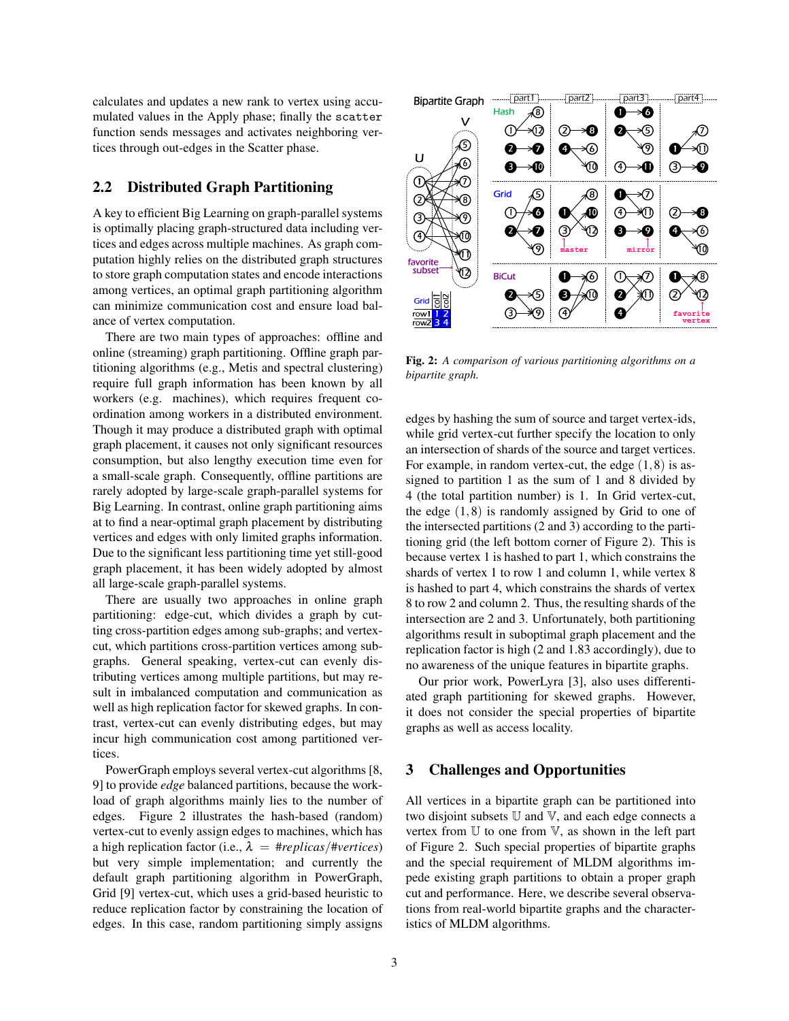calculates and updates a new rank to vertex using accumulated values in the Apply phase; finally the scatter function sends messages and activates neighboring vertices through out-edges in the Scatter phase.

## 2.2 Distributed Graph Partitioning

A key to efficient Big Learning on graph-parallel systems is optimally placing graph-structured data including vertices and edges across multiple machines. As graph computation highly relies on the distributed graph structures to store graph computation states and encode interactions among vertices, an optimal graph partitioning algorithm can minimize communication cost and ensure load balance of vertex computation.

There are two main types of approaches: offline and online (streaming) graph partitioning. Offline graph partitioning algorithms (e.g., Metis and spectral clustering) require full graph information has been known by all workers (e.g. machines), which requires frequent coordination among workers in a distributed environment. Though it may produce a distributed graph with optimal graph placement, it causes not only significant resources consumption, but also lengthy execution time even for a small-scale graph. Consequently, offline partitions are rarely adopted by large-scale graph-parallel systems for Big Learning. In contrast, online graph partitioning aims at to find a near-optimal graph placement by distributing vertices and edges with only limited graphs information. Due to the significant less partitioning time yet still-good graph placement, it has been widely adopted by almost all large-scale graph-parallel systems.

There are usually two approaches in online graph partitioning: edge-cut, which divides a graph by cutting cross-partition edges among sub-graphs; and vertexcut, which partitions cross-partition vertices among subgraphs. General speaking, vertex-cut can evenly distributing vertices among multiple partitions, but may result in imbalanced computation and communication as well as high replication factor for skewed graphs. In contrast, vertex-cut can evenly distributing edges, but may incur high communication cost among partitioned vertices.

PowerGraph employs several vertex-cut algorithms [8, 9] to provide *edge* balanced partitions, because the workload of graph algorithms mainly lies to the number of edges. Figure 2 illustrates the hash-based (random) vertex-cut to evenly assign edges to machines, which has a high replication factor (i.e.,  $\lambda = \text{#replies/#vertices}$ ) but very simple implementation; and currently the default graph partitioning algorithm in PowerGraph, Grid [9] vertex-cut, which uses a grid-based heuristic to reduce replication factor by constraining the location of edges. In this case, random partitioning simply assigns



Fig. 2: *A comparison of various partitioning algorithms on a bipartite graph.*

edges by hashing the sum of source and target vertex-ids, while grid vertex-cut further specify the location to only an intersection of shards of the source and target vertices. For example, in random vertex-cut, the edge  $(1,8)$  is assigned to partition 1 as the sum of 1 and 8 divided by 4 (the total partition number) is 1. In Grid vertex-cut, the edge  $(1,8)$  is randomly assigned by Grid to one of the intersected partitions (2 and 3) according to the partitioning grid (the left bottom corner of Figure 2). This is because vertex 1 is hashed to part 1, which constrains the shards of vertex 1 to row 1 and column 1, while vertex 8 is hashed to part 4, which constrains the shards of vertex 8 to row 2 and column 2. Thus, the resulting shards of the intersection are 2 and 3. Unfortunately, both partitioning algorithms result in suboptimal graph placement and the replication factor is high (2 and 1.83 accordingly), due to no awareness of the unique features in bipartite graphs.

Our prior work, PowerLyra [3], also uses differentiated graph partitioning for skewed graphs. However, it does not consider the special properties of bipartite graphs as well as access locality.

#### 3 Challenges and Opportunities

All vertices in a bipartite graph can be partitioned into two disjoint subsets  $U$  and  $V$ , and each edge connects a vertex from U to one from V, as shown in the left part of Figure 2. Such special properties of bipartite graphs and the special requirement of MLDM algorithms impede existing graph partitions to obtain a proper graph cut and performance. Here, we describe several observations from real-world bipartite graphs and the characteristics of MLDM algorithms.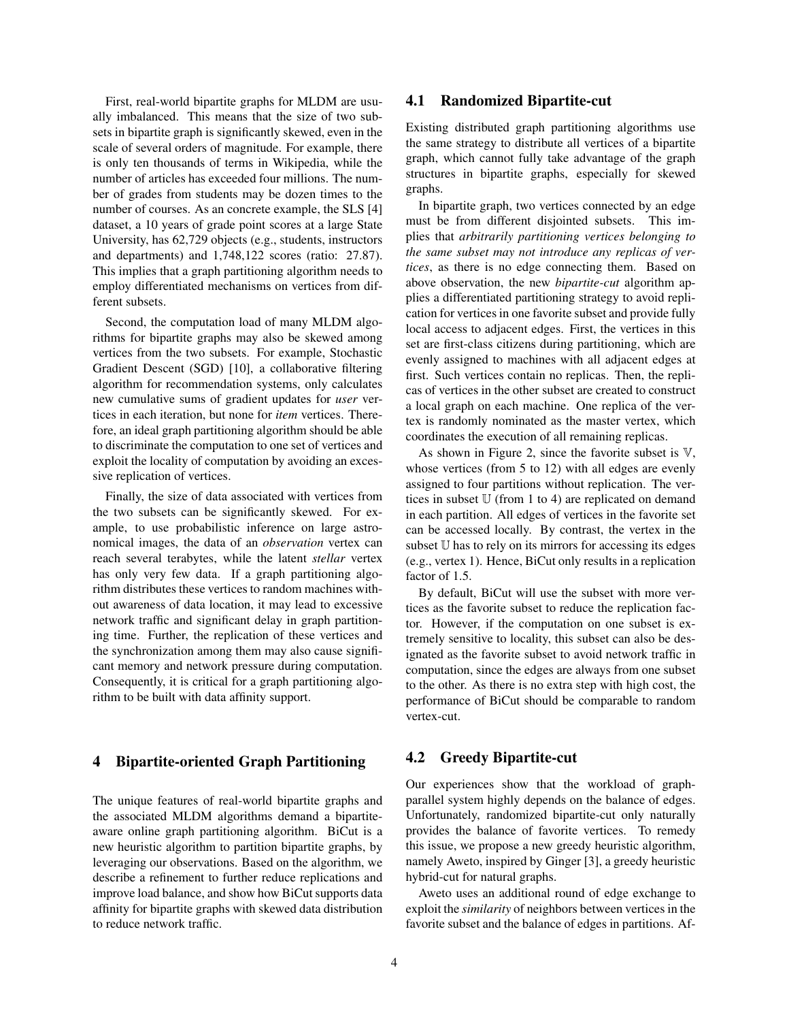First, real-world bipartite graphs for MLDM are usually imbalanced. This means that the size of two subsets in bipartite graph is significantly skewed, even in the scale of several orders of magnitude. For example, there is only ten thousands of terms in Wikipedia, while the number of articles has exceeded four millions. The number of grades from students may be dozen times to the number of courses. As an concrete example, the SLS [4] dataset, a 10 years of grade point scores at a large State University, has 62,729 objects (e.g., students, instructors and departments) and 1,748,122 scores (ratio: 27.87). This implies that a graph partitioning algorithm needs to employ differentiated mechanisms on vertices from different subsets.

Second, the computation load of many MLDM algorithms for bipartite graphs may also be skewed among vertices from the two subsets. For example, Stochastic Gradient Descent (SGD) [10], a collaborative filtering algorithm for recommendation systems, only calculates new cumulative sums of gradient updates for *user* vertices in each iteration, but none for *item* vertices. Therefore, an ideal graph partitioning algorithm should be able to discriminate the computation to one set of vertices and exploit the locality of computation by avoiding an excessive replication of vertices.

Finally, the size of data associated with vertices from the two subsets can be significantly skewed. For example, to use probabilistic inference on large astronomical images, the data of an *observation* vertex can reach several terabytes, while the latent *stellar* vertex has only very few data. If a graph partitioning algorithm distributes these vertices to random machines without awareness of data location, it may lead to excessive network traffic and significant delay in graph partitioning time. Further, the replication of these vertices and the synchronization among them may also cause significant memory and network pressure during computation. Consequently, it is critical for a graph partitioning algorithm to be built with data affinity support.

#### 4 Bipartite-oriented Graph Partitioning

The unique features of real-world bipartite graphs and the associated MLDM algorithms demand a bipartiteaware online graph partitioning algorithm. BiCut is a new heuristic algorithm to partition bipartite graphs, by leveraging our observations. Based on the algorithm, we describe a refinement to further reduce replications and improve load balance, and show how BiCut supports data affinity for bipartite graphs with skewed data distribution to reduce network traffic.

#### 4.1 Randomized Bipartite-cut

Existing distributed graph partitioning algorithms use the same strategy to distribute all vertices of a bipartite graph, which cannot fully take advantage of the graph structures in bipartite graphs, especially for skewed graphs.

In bipartite graph, two vertices connected by an edge must be from different disjointed subsets. This implies that *arbitrarily partitioning vertices belonging to the same subset may not introduce any replicas of vertices*, as there is no edge connecting them. Based on above observation, the new *bipartite-cut* algorithm applies a differentiated partitioning strategy to avoid replication for vertices in one favorite subset and provide fully local access to adjacent edges. First, the vertices in this set are first-class citizens during partitioning, which are evenly assigned to machines with all adjacent edges at first. Such vertices contain no replicas. Then, the replicas of vertices in the other subset are created to construct a local graph on each machine. One replica of the vertex is randomly nominated as the master vertex, which coordinates the execution of all remaining replicas.

As shown in Figure 2, since the favorite subset is  $\nabla$ , whose vertices (from 5 to 12) with all edges are evenly assigned to four partitions without replication. The vertices in subset  $U$  (from 1 to 4) are replicated on demand in each partition. All edges of vertices in the favorite set can be accessed locally. By contrast, the vertex in the subset U has to rely on its mirrors for accessing its edges (e.g., vertex 1). Hence, BiCut only results in a replication factor of 1.5.

By default, BiCut will use the subset with more vertices as the favorite subset to reduce the replication factor. However, if the computation on one subset is extremely sensitive to locality, this subset can also be designated as the favorite subset to avoid network traffic in computation, since the edges are always from one subset to the other. As there is no extra step with high cost, the performance of BiCut should be comparable to random vertex-cut.

### 4.2 Greedy Bipartite-cut

Our experiences show that the workload of graphparallel system highly depends on the balance of edges. Unfortunately, randomized bipartite-cut only naturally provides the balance of favorite vertices. To remedy this issue, we propose a new greedy heuristic algorithm, namely Aweto, inspired by Ginger [3], a greedy heuristic hybrid-cut for natural graphs.

Aweto uses an additional round of edge exchange to exploit the *similarity* of neighbors between vertices in the favorite subset and the balance of edges in partitions. Af-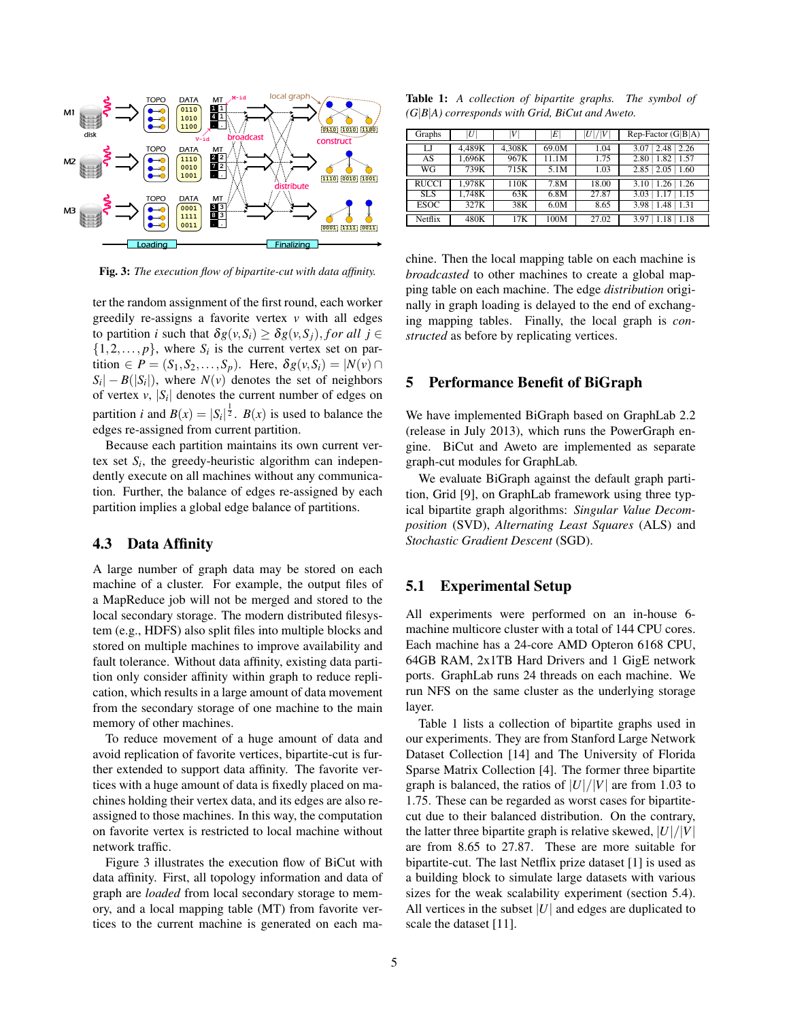

Fig. 3: *The execution flow of bipartite-cut with data affinity.*

ter the random assignment of the first round, each worker greedily re-assigns a favorite vertex *v* with all edges to partition *i* such that  $\delta g(v, S_i) \geq \delta g(v, S_j)$ , for all  $j \in$  $\{1, 2, \ldots, p\}$ , where  $S_i$  is the current vertex set on partition  $\in P = (S_1, S_2, \ldots, S_p)$ . Here,  $\delta g(v, S_i) = |N(v)|$  $S_i$  |  $-B(|S_i|)$ , where  $N(v)$  denotes the set of neighbors of vertex  $v$ ,  $|S_i|$  denotes the current number of edges on partition *i* and  $B(x) = |S_i|^{\frac{1}{2}}$ .  $B(x)$  is used to balance the edges re-assigned from current partition.

Because each partition maintains its own current vertex set  $S_i$ , the greedy-heuristic algorithm can independently execute on all machines without any communication. Further, the balance of edges re-assigned by each partition implies a global edge balance of partitions.

#### 4.3 Data Affinity

A large number of graph data may be stored on each machine of a cluster. For example, the output files of a MapReduce job will not be merged and stored to the local secondary storage. The modern distributed filesystem (e.g., HDFS) also split files into multiple blocks and stored on multiple machines to improve availability and fault tolerance. Without data affinity, existing data partition only consider affinity within graph to reduce replication, which results in a large amount of data movement from the secondary storage of one machine to the main memory of other machines.

To reduce movement of a huge amount of data and avoid replication of favorite vertices, bipartite-cut is further extended to support data affinity. The favorite vertices with a huge amount of data is fixedly placed on machines holding their vertex data, and its edges are also reassigned to those machines. In this way, the computation on favorite vertex is restricted to local machine without network traffic.

Figure 3 illustrates the execution flow of BiCut with data affinity. First, all topology information and data of graph are *loaded* from local secondary storage to memory, and a local mapping table (MT) from favorite vertices to the current machine is generated on each ma-

Table 1: *A collection of bipartite graphs. The symbol of (G*|*B*|*A) corresponds with Grid, BiCut and Aweto.*

| Graphs       | U      | V      | $E^{\parallel}$ | U / V | $Rep-Factor(G B A)$   |
|--------------|--------|--------|-----------------|-------|-----------------------|
| LJ           | 4,489K | 4,308K | 69.0M           | 1.04  | 2.26<br>2.48<br>3.07  |
|              |        |        |                 |       |                       |
| AS           | 1,696K | 967K   | 11.1M           | 1.75  | 1.57<br>1.82<br>2.80  |
| WG           | 739K   | 715K   | 5.1M            | 1.03  | 2.85<br>2.05<br>1.60  |
|              |        |        |                 |       |                       |
| <b>RUCCI</b> | 1.978K | 110K   | 7.8M            | 18.00 | $1.26$   1.26<br>3.10 |
| <b>SLS</b>   | 1.748K | 63K    | 6.8M            | 27.87 | 1.15<br>3.03          |
| <b>ESOC</b>  | 327K   | 38K    | 6.0M            | 8.65  | 1.31<br>3.98<br>1.48  |
|              |        |        |                 |       |                       |
| Netflix      | 480K   | 17K    | 100M            | 27.02 | 1.18<br>3.97          |

chine. Then the local mapping table on each machine is *broadcasted* to other machines to create a global mapping table on each machine. The edge *distribution* originally in graph loading is delayed to the end of exchanging mapping tables. Finally, the local graph is *constructed* as before by replicating vertices.

### 5 Performance Benefit of BiGraph

We have implemented BiGraph based on GraphLab 2.2 (release in July 2013), which runs the PowerGraph engine. BiCut and Aweto are implemented as separate graph-cut modules for GraphLab.

We evaluate BiGraph against the default graph partition, Grid [9], on GraphLab framework using three typical bipartite graph algorithms: *Singular Value Decomposition* (SVD), *Alternating Least Squares* (ALS) and *Stochastic Gradient Descent* (SGD).

## 5.1 Experimental Setup

All experiments were performed on an in-house 6 machine multicore cluster with a total of 144 CPU cores. Each machine has a 24-core AMD Opteron 6168 CPU, 64GB RAM, 2x1TB Hard Drivers and 1 GigE network ports. GraphLab runs 24 threads on each machine. We run NFS on the same cluster as the underlying storage layer.

Table 1 lists a collection of bipartite graphs used in our experiments. They are from Stanford Large Network Dataset Collection [14] and The University of Florida Sparse Matrix Collection [4]. The former three bipartite graph is balanced, the ratios of  $|U|/|V|$  are from 1.03 to 1.75. These can be regarded as worst cases for bipartitecut due to their balanced distribution. On the contrary, the latter three bipartite graph is relative skewed,  $|U|/|V|$ are from 8.65 to 27.87. These are more suitable for bipartite-cut. The last Netflix prize dataset [1] is used as a building block to simulate large datasets with various sizes for the weak scalability experiment (section 5.4). All vertices in the subset |*U*| and edges are duplicated to scale the dataset [11].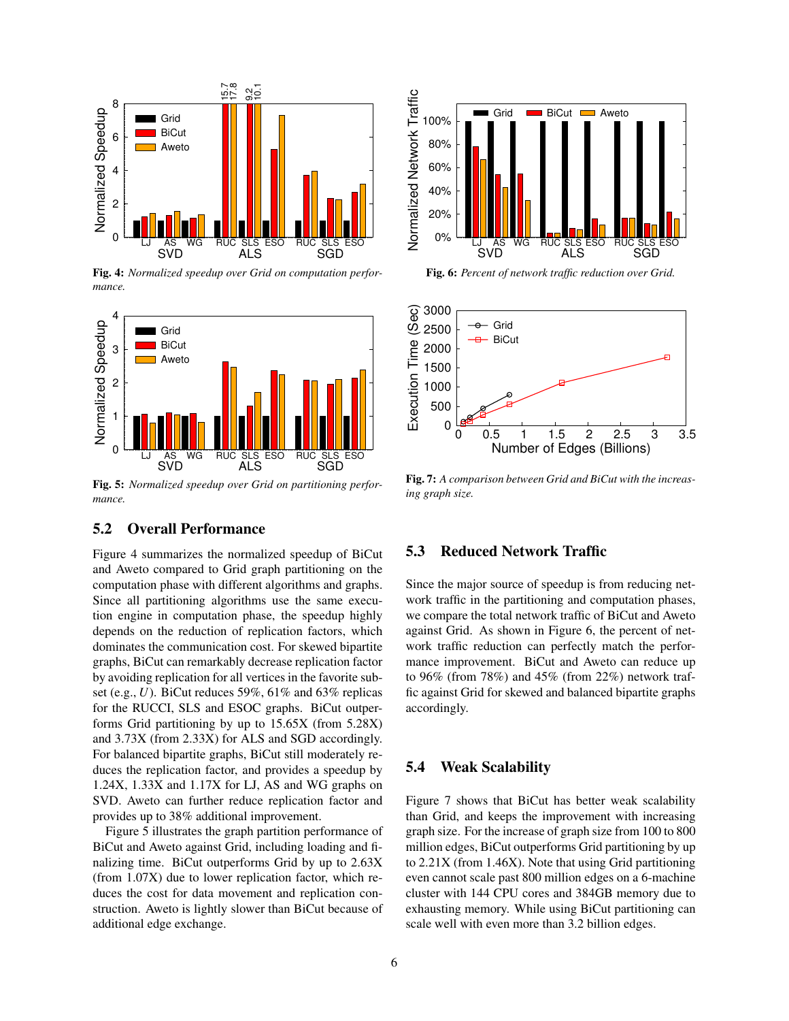

Fig. 4: *Normalized speedup over Grid on computation performance.*



Fig. 5: *Normalized speedup over Grid on partitioning performance.*

# 5.2 Overall Performance

Figure 4 summarizes the normalized speedup of BiCut and Aweto compared to Grid graph partitioning on the computation phase with different algorithms and graphs. Since all partitioning algorithms use the same execution engine in computation phase, the speedup highly depends on the reduction of replication factors, which dominates the communication cost. For skewed bipartite graphs, BiCut can remarkably decrease replication factor by avoiding replication for all vertices in the favorite subset (e.g., *U*). BiCut reduces 59%, 61% and 63% replicas for the RUCCI, SLS and ESOC graphs. BiCut outperforms Grid partitioning by up to 15.65X (from 5.28X) and 3.73X (from 2.33X) for ALS and SGD accordingly. For balanced bipartite graphs, BiCut still moderately reduces the replication factor, and provides a speedup by 1.24X, 1.33X and 1.17X for LJ, AS and WG graphs on SVD. Aweto can further reduce replication factor and provides up to 38% additional improvement.

Figure 5 illustrates the graph partition performance of BiCut and Aweto against Grid, including loading and finalizing time. BiCut outperforms Grid by up to 2.63X (from 1.07X) due to lower replication factor, which reduces the cost for data movement and replication construction. Aweto is lightly slower than BiCut because of additional edge exchange.



Fig. 6: *Percent of network traffic reduction over Grid.*



Fig. 7: *A comparison between Grid and BiCut with the increasing graph size.*

## 5.3 Reduced Network Traffic

Since the major source of speedup is from reducing network traffic in the partitioning and computation phases, we compare the total network traffic of BiCut and Aweto against Grid. As shown in Figure 6, the percent of network traffic reduction can perfectly match the performance improvement. BiCut and Aweto can reduce up to 96% (from 78%) and 45% (from 22%) network traffic against Grid for skewed and balanced bipartite graphs accordingly.

#### 5.4 Weak Scalability

Figure 7 shows that BiCut has better weak scalability than Grid, and keeps the improvement with increasing graph size. For the increase of graph size from 100 to 800 million edges, BiCut outperforms Grid partitioning by up to 2.21X (from 1.46X). Note that using Grid partitioning even cannot scale past 800 million edges on a 6-machine cluster with 144 CPU cores and 384GB memory due to exhausting memory. While using BiCut partitioning can scale well with even more than 3.2 billion edges.